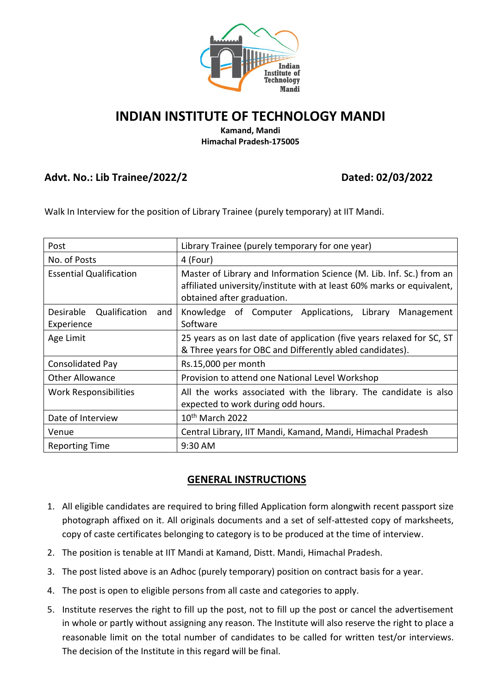

## **INDIAN INSTITUTE OF TECHNOLOGY MANDI**

#### **Kamand, Mandi Himachal Pradesh-175005**

## **Advt. No.: Lib Trainee/2022/2 Dated: 02/03/2022**

Walk In Interview for the position of Library Trainee (purely temporary) at IIT Mandi.

| Post                                            | Library Trainee (purely temporary for one year)                                                                                                                              |  |  |  |
|-------------------------------------------------|------------------------------------------------------------------------------------------------------------------------------------------------------------------------------|--|--|--|
| No. of Posts                                    | 4 (Four)                                                                                                                                                                     |  |  |  |
| <b>Essential Qualification</b>                  | Master of Library and Information Science (M. Lib. Inf. Sc.) from an<br>affiliated university/institute with at least 60% marks or equivalent,<br>obtained after graduation. |  |  |  |
| Qualification<br>Desirable<br>and<br>Experience | Knowledge of Computer Applications, Library<br>Management<br>Software                                                                                                        |  |  |  |
| Age Limit                                       | 25 years as on last date of application (five years relaxed for SC, ST<br>& Three years for OBC and Differently abled candidates).                                           |  |  |  |
| <b>Consolidated Pay</b>                         | Rs.15,000 per month                                                                                                                                                          |  |  |  |
| <b>Other Allowance</b>                          | Provision to attend one National Level Workshop                                                                                                                              |  |  |  |
| Work Responsibilities                           | All the works associated with the library. The candidate is also<br>expected to work during odd hours.                                                                       |  |  |  |
| Date of Interview                               | 10 <sup>th</sup> March 2022                                                                                                                                                  |  |  |  |
| Venue                                           | Central Library, IIT Mandi, Kamand, Mandi, Himachal Pradesh                                                                                                                  |  |  |  |
| <b>Reporting Time</b>                           | 9:30 AM                                                                                                                                                                      |  |  |  |

## **GENERAL INSTRUCTIONS**

- 1. All eligible candidates are required to bring filled Application form alongwith recent passport size photograph affixed on it. All originals documents and a set of self-attested copy of marksheets, copy of caste certificates belonging to category is to be produced at the time of interview.
- 2. The position is tenable at IIT Mandi at Kamand, Distt. Mandi, Himachal Pradesh.
- 3. The post listed above is an Adhoc (purely temporary) position on contract basis for a year.
- 4. The post is open to eligible persons from all caste and categories to apply.
- 5. Institute reserves the right to fill up the post, not to fill up the post or cancel the advertisement in whole or partly without assigning any reason. The Institute will also reserve the right to place a reasonable limit on the total number of candidates to be called for written test/or interviews. The decision of the Institute in this regard will be final.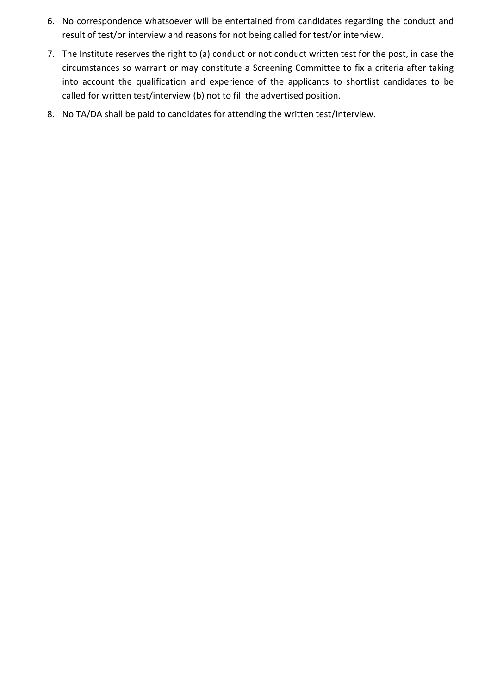- 6. No correspondence whatsoever will be entertained from candidates regarding the conduct and result of test/or interview and reasons for not being called for test/or interview.
- 7. The Institute reserves the right to (a) conduct or not conduct written test for the post, in case the circumstances so warrant or may constitute a Screening Committee to fix a criteria after taking into account the qualification and experience of the applicants to shortlist candidates to be called for written test/interview (b) not to fill the advertised position.
- 8. No TA/DA shall be paid to candidates for attending the written test/Interview.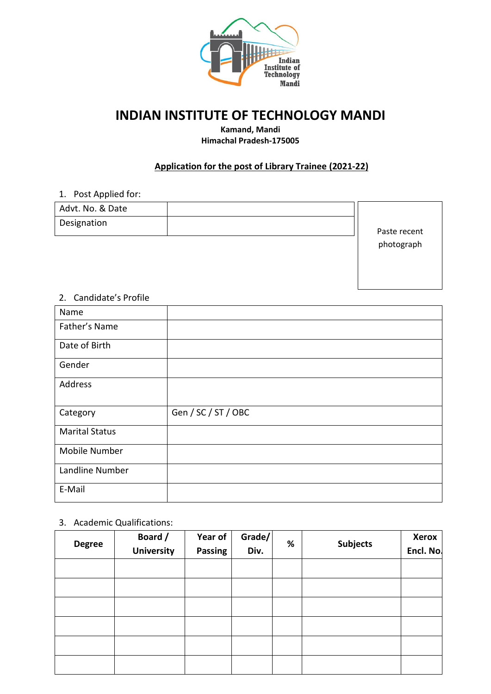

# **INDIAN INSTITUTE OF TECHNOLOGY MANDI**

**Kamand, Mandi Himachal Pradesh-175005**

#### **Application for the post of Library Trainee (2021-22)**

### 1. Post Applied for:

| Advt. No. & Date |              |
|------------------|--------------|
| Designation      | Paste recent |
|                  | nhotograph   |

photograph

#### 2. Candidate's Profile

| Name                  |                     |
|-----------------------|---------------------|
| Father's Name         |                     |
| Date of Birth         |                     |
| Gender                |                     |
| Address               |                     |
| Category              | Gen / SC / ST / OBC |
| <b>Marital Status</b> |                     |
| Mobile Number         |                     |
| Landline Number       |                     |
| E-Mail                |                     |

#### 3. Academic Qualifications:

| <b>Degree</b> | Board /<br><b>University</b> | Year of<br>Passing | Grade/<br>Div. | % | <b>Subjects</b> | <b>Xerox</b><br>Encl. No. |
|---------------|------------------------------|--------------------|----------------|---|-----------------|---------------------------|
|               |                              |                    |                |   |                 |                           |
|               |                              |                    |                |   |                 |                           |
|               |                              |                    |                |   |                 |                           |
|               |                              |                    |                |   |                 |                           |
|               |                              |                    |                |   |                 |                           |
|               |                              |                    |                |   |                 |                           |